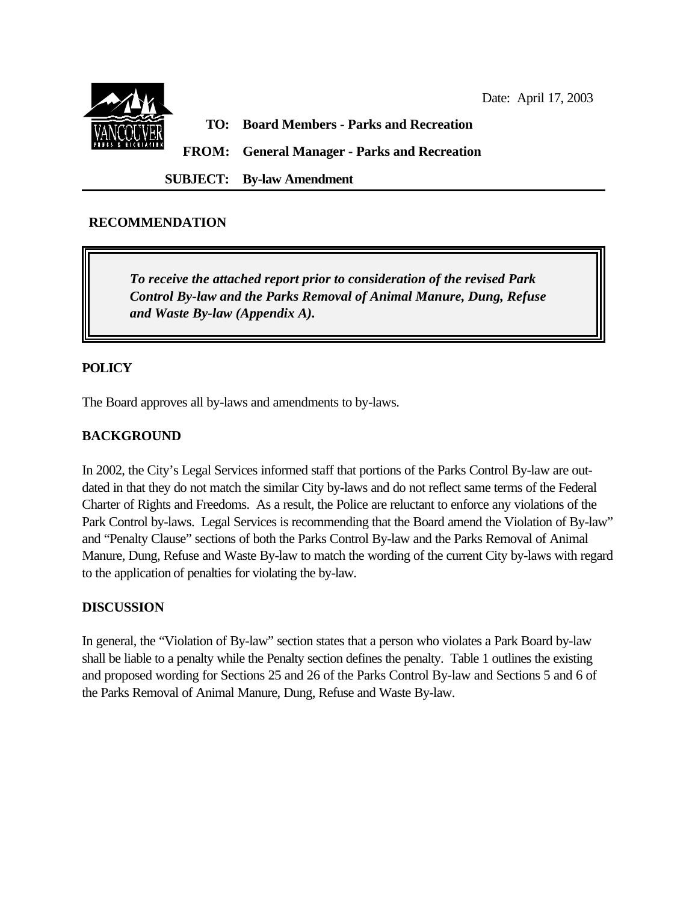

## **RECOMMENDATION**

*To receive the attached report prior to consideration of the revised Park Control By-law and the Parks Removal of Animal Manure, Dung, Refuse and Waste By-law (Appendix A).*

### **POLICY**

The Board approves all by-laws and amendments to by-laws.

## **BACKGROUND**

In 2002, the City's Legal Services informed staff that portions of the Parks Control By-law are outdated in that they do not match the similar City by-laws and do not reflect same terms of the Federal Charter of Rights and Freedoms. As a result, the Police are reluctant to enforce any violations of the Park Control by-laws. Legal Services is recommending that the Board amend the Violation of By-law" and "Penalty Clause" sections of both the Parks Control By-law and the Parks Removal of Animal Manure, Dung, Refuse and Waste By-law to match the wording of the current City by-laws with regard to the application of penalties for violating the by-law.

### **DISCUSSION**

In general, the "Violation of By-law" section states that a person who violates a Park Board by-law shall be liable to a penalty while the Penalty section defines the penalty. Table 1 outlines the existing and proposed wording for Sections 25 and 26 of the Parks Control By-law and Sections 5 and 6 of the Parks Removal of Animal Manure, Dung, Refuse and Waste By-law.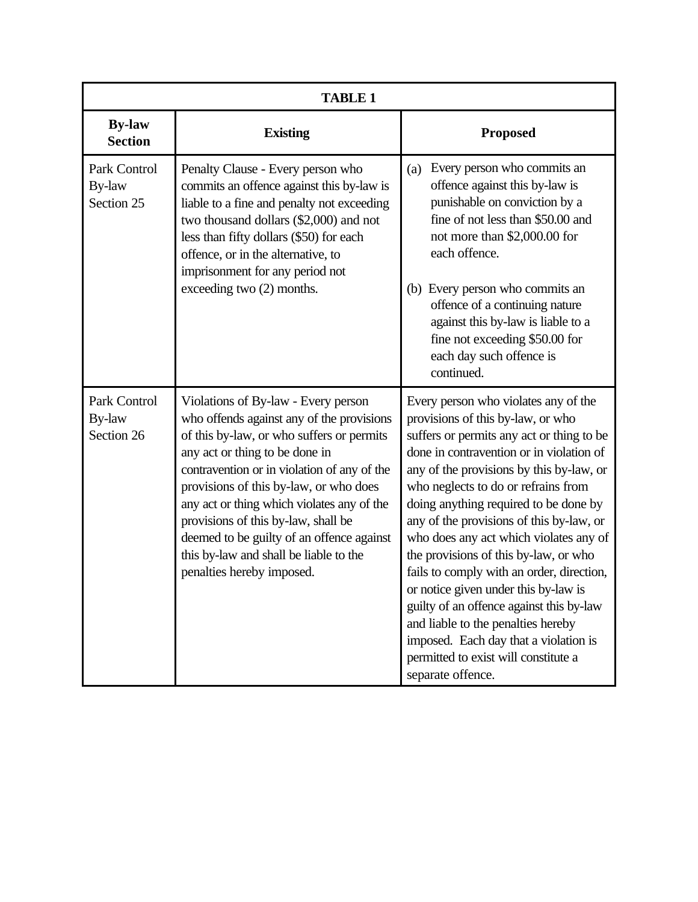| <b>TABLE 1</b>                       |                                                                                                                                                                                                                                                                                                                                                                                                                                                                   |                                                                                                                                                                                                                                                                                                                                                                                                                                                                                                                                                                                                                                                                                                            |
|--------------------------------------|-------------------------------------------------------------------------------------------------------------------------------------------------------------------------------------------------------------------------------------------------------------------------------------------------------------------------------------------------------------------------------------------------------------------------------------------------------------------|------------------------------------------------------------------------------------------------------------------------------------------------------------------------------------------------------------------------------------------------------------------------------------------------------------------------------------------------------------------------------------------------------------------------------------------------------------------------------------------------------------------------------------------------------------------------------------------------------------------------------------------------------------------------------------------------------------|
| <b>By-law</b><br><b>Section</b>      | <b>Existing</b>                                                                                                                                                                                                                                                                                                                                                                                                                                                   | <b>Proposed</b>                                                                                                                                                                                                                                                                                                                                                                                                                                                                                                                                                                                                                                                                                            |
| Park Control<br>By-law<br>Section 25 | Penalty Clause - Every person who<br>commits an offence against this by-law is<br>liable to a fine and penalty not exceeding<br>two thousand dollars (\$2,000) and not<br>less than fifty dollars (\$50) for each<br>offence, or in the alternative, to<br>imprisonment for any period not<br>exceeding two (2) months.                                                                                                                                           | Every person who commits an<br>(a)<br>offence against this by-law is<br>punishable on conviction by a<br>fine of not less than \$50.00 and<br>not more than \$2,000.00 for<br>each offence.<br>Every person who commits an<br>(b)<br>offence of a continuing nature<br>against this by-law is liable to a<br>fine not exceeding \$50.00 for<br>each day such offence is<br>continued.                                                                                                                                                                                                                                                                                                                      |
| Park Control<br>By-law<br>Section 26 | Violations of By-law - Every person<br>who offends against any of the provisions<br>of this by-law, or who suffers or permits<br>any act or thing to be done in<br>contravention or in violation of any of the<br>provisions of this by-law, or who does<br>any act or thing which violates any of the<br>provisions of this by-law, shall be<br>deemed to be guilty of an offence against<br>this by-law and shall be liable to the<br>penalties hereby imposed. | Every person who violates any of the<br>provisions of this by-law, or who<br>suffers or permits any act or thing to be<br>done in contravention or in violation of<br>any of the provisions by this by-law, or<br>who neglects to do or refrains from<br>doing anything required to be done by<br>any of the provisions of this by-law, or<br>who does any act which violates any of<br>the provisions of this by-law, or who<br>fails to comply with an order, direction,<br>or notice given under this by-law is<br>guilty of an offence against this by-law<br>and liable to the penalties hereby<br>imposed. Each day that a violation is<br>permitted to exist will constitute a<br>separate offence. |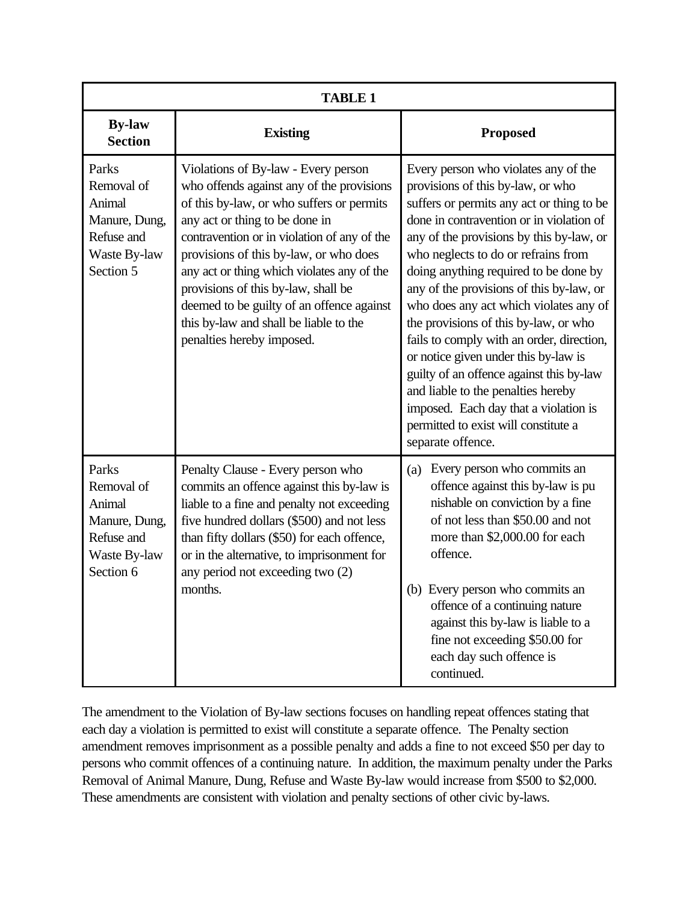| <b>TABLE 1</b>                                                                            |                                                                                                                                                                                                                                                                                                                                                                                                                                                                   |                                                                                                                                                                                                                                                                                                                                                                                                                                                                                                                                                                                                                                                                                                            |  |
|-------------------------------------------------------------------------------------------|-------------------------------------------------------------------------------------------------------------------------------------------------------------------------------------------------------------------------------------------------------------------------------------------------------------------------------------------------------------------------------------------------------------------------------------------------------------------|------------------------------------------------------------------------------------------------------------------------------------------------------------------------------------------------------------------------------------------------------------------------------------------------------------------------------------------------------------------------------------------------------------------------------------------------------------------------------------------------------------------------------------------------------------------------------------------------------------------------------------------------------------------------------------------------------------|--|
| <b>By-law</b><br><b>Section</b>                                                           | <b>Existing</b>                                                                                                                                                                                                                                                                                                                                                                                                                                                   | <b>Proposed</b>                                                                                                                                                                                                                                                                                                                                                                                                                                                                                                                                                                                                                                                                                            |  |
| Parks<br>Removal of<br>Animal<br>Manure, Dung,<br>Refuse and<br>Waste By-law<br>Section 5 | Violations of By-law - Every person<br>who offends against any of the provisions<br>of this by-law, or who suffers or permits<br>any act or thing to be done in<br>contravention or in violation of any of the<br>provisions of this by-law, or who does<br>any act or thing which violates any of the<br>provisions of this by-law, shall be<br>deemed to be guilty of an offence against<br>this by-law and shall be liable to the<br>penalties hereby imposed. | Every person who violates any of the<br>provisions of this by-law, or who<br>suffers or permits any act or thing to be<br>done in contravention or in violation of<br>any of the provisions by this by-law, or<br>who neglects to do or refrains from<br>doing anything required to be done by<br>any of the provisions of this by-law, or<br>who does any act which violates any of<br>the provisions of this by-law, or who<br>fails to comply with an order, direction,<br>or notice given under this by-law is<br>guilty of an offence against this by-law<br>and liable to the penalties hereby<br>imposed. Each day that a violation is<br>permitted to exist will constitute a<br>separate offence. |  |
| Parks<br>Removal of<br>Animal<br>Manure, Dung,<br>Refuse and<br>Waste By-law<br>Section 6 | Penalty Clause - Every person who<br>commits an offence against this by-law is<br>liable to a fine and penalty not exceeding<br>five hundred dollars (\$500) and not less<br>than fifty dollars (\$50) for each offence,<br>or in the alternative, to imprisonment for<br>any period not exceeding two (2)<br>months.                                                                                                                                             | Every person who commits an<br>(a)<br>offence against this by-law is pu<br>nishable on conviction by a fine<br>of not less than \$50.00 and not<br>more than \$2,000.00 for each<br>offence.<br>(b) Every person who commits an<br>offence of a continuing nature<br>against this by-law is liable to a<br>fine not exceeding \$50.00 for<br>each day such offence is<br>continued.                                                                                                                                                                                                                                                                                                                        |  |

The amendment to the Violation of By-law sections focuses on handling repeat offences stating that each day a violation is permitted to exist will constitute a separate offence. The Penalty section amendment removes imprisonment as a possible penalty and adds a fine to not exceed \$50 per day to persons who commit offences of a continuing nature. In addition, the maximum penalty under the Parks Removal of Animal Manure, Dung, Refuse and Waste By-law would increase from \$500 to \$2,000. These amendments are consistent with violation and penalty sections of other civic by-laws.